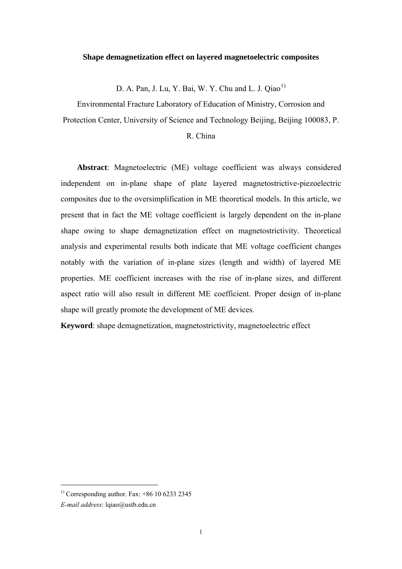#### **Shape demagnetization effect on layered magnetoelectric composites**

D. A. Pan, J. Lu, Y. Bai, W. Y. Chu and L. J. Qiao<sup>[1](#page-0-0))</sup>

Environmental Fracture Laboratory of Education of Ministry, Corrosion and Protection Center, University of Science and Technology Beijing, Beijing 100083, P.

## R. China

**Abstract**: Magnetoelectric (ME) voltage coefficient was always considered independent on in-plane shape of plate layered magnetostrictive-piezoelectric composites due to the oversimplification in ME theoretical models. In this article, we present that in fact the ME voltage coefficient is largely dependent on the in-plane shape owing to shape demagnetization effect on magnetostrictivity. Theoretical analysis and experimental results both indicate that ME voltage coefficient changes notably with the variation of in-plane sizes (length and width) of layered ME properties. ME coefficient increases with the rise of in-plane sizes, and different aspect ratio will also result in different ME coefficient. Proper design of in-plane shape will greatly promote the development of ME devices.

**Keyword**: shape demagnetization, magnetostrictivity, magnetoelectric effect

1

<span id="page-0-0"></span><sup>&</sup>lt;sup>1)</sup> Corresponding author. Fax:  $+86$  10 6233 2345

*E-mail address*: lqiao@ustb.edu.cn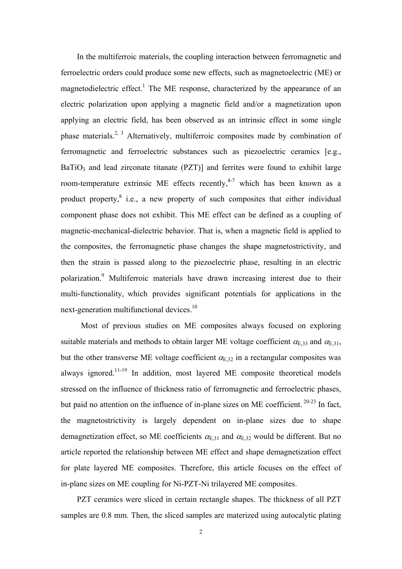In the multiferroic materials, the coupling interaction between ferromagnetic and ferroelectric orders could produce some new effects, such as magnetoelectric (ME) or magnetodielectric effect.<sup>1</sup> The ME response, characterized by the appearance of an electric polarization upon applying a magnetic field and/or a magnetization upon applying an electric field, has been observed as an intrinsic effect in some single phase materials.<sup>2, 3</sup> Alternatively, multiferroic composites made by combination of ferromagnetic and ferroelectric substances such as piezoelectric ceramics [e.g.,  $BaTiO<sub>3</sub>$  and lead zirconate titanate (PZT)] and ferrites were found to exhibit large room-temperature extrinsic ME effects recently, $4.7$  which has been known as a product property, $8$  i.e., a new property of such composites that either individual component phase does not exhibit. This ME effect can be defined as a coupling of magnetic-mechanical-dielectric behavior. That is, when a magnetic field is applied to the composites, the ferromagnetic phase changes the shape magnetostrictivity, and then the strain is passed along to the piezoelectric phase, resulting in an electric polarization.<sup>9</sup> Multiferroic materials have drawn increasing interest due to their multi-functionality, which provides significant potentials for applications in the next-generation multifunctional devices.10

 Most of previous studies on ME composites always focused on exploring suitable materials and methods to obtain larger ME voltage coefficient  $\alpha_{E,33}$  and  $\alpha_{E,31}$ , but the other transverse ME voltage coefficient  $\alpha_{E,32}$  in a rectangular composites was always ignored.11-19 In addition, most layered ME composite theoretical models stressed on the influence of thickness ratio of ferromagnetic and ferroelectric phases, but paid no attention on the influence of in-plane sizes on ME coefficient. 20-23 In fact, the magnetostrictivity is largely dependent on in-plane sizes due to shape demagnetization effect, so ME coefficients  $\alpha_{E,31}$  and  $\alpha_{E,32}$  would be different. But no article reported the relationship between ME effect and shape demagnetization effect for plate layered ME composites. Therefore, this article focuses on the effect of in-plane sizes on ME coupling for Ni-PZT-Ni trilayered ME composites.

PZT ceramics were sliced in certain rectangle shapes. The thickness of all PZT samples are 0.8 mm. Then, the sliced samples are materized using autocalytic plating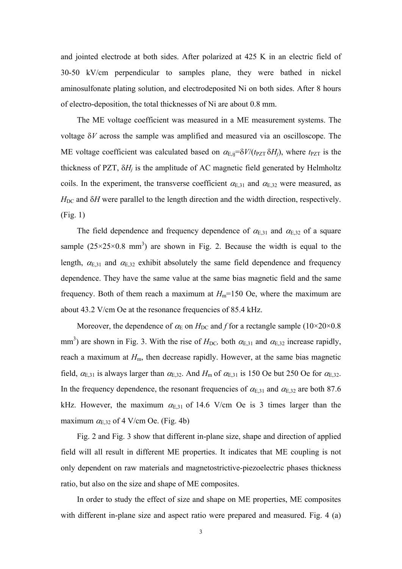and jointed electrode at both sides. After polarized at 425 K in an electric field of 30-50 kV/cm perpendicular to samples plane, they were bathed in nickel aminosulfonate plating solution, and electrodeposited Ni on both sides. After 8 hours of electro-deposition, the total thicknesses of Ni are about 0.8 mm.

The ME voltage coefficient was measured in a ME measurement systems. The voltage δ*V* across the sample was amplified and measured via an oscilloscope. The ME voltage coefficient was calculated based on  $\alpha_{E,ij} = \delta V/(t_{PZT} \delta H_i)$ , where  $t_{PZT}$  is the thickness of PZT,  $\delta H_i$  is the amplitude of AC magnetic field generated by Helmholtz coils. In the experiment, the transverse coefficient  $\alpha_{E,31}$  and  $\alpha_{E,32}$  were measured, as  $H<sub>DC</sub>$  and  $\delta$ *H* were parallel to the length direction and the width direction, respectively. (Fig. 1)

The field dependence and frequency dependence of  $\alpha_{E,31}$  and  $\alpha_{E,32}$  of a square sample  $(25\times25\times0.8 \text{ mm}^3)$  are shown in Fig. 2. Because the width is equal to the length,  $\alpha_{E,31}$  and  $\alpha_{E,32}$  exhibit absolutely the same field dependence and frequency dependence. They have the same value at the same bias magnetic field and the same frequency. Both of them reach a maximum at  $H_m$ =150 Oe, where the maximum are about 43.2 V/cm Oe at the resonance frequencies of 85.4 kHz.

Moreover, the dependence of  $\alpha_{\rm E}$  on  $H_{\rm DC}$  and *f* for a rectangle sample (10×20×0.8) mm<sup>3</sup>) are shown in Fig. 3. With the rise of  $H_{DC}$ , both  $\alpha_{E,31}$  and  $\alpha_{E,32}$  increase rapidly, reach a maximum at  $H<sub>m</sub>$ , then decrease rapidly. However, at the same bias magnetic field,  $\alpha_{E,31}$  is always larger than  $\alpha_{E,32}$ . And  $H_m$  of  $\alpha_{E,31}$  is 150 Oe but 250 Oe for  $\alpha_{E,32}$ . In the frequency dependence, the resonant frequencies of  $\alpha_{E,31}$  and  $\alpha_{E,32}$  are both 87.6 kHz. However, the maximum  $\alpha_{E,31}$  of 14.6 V/cm Oe is 3 times larger than the maximum  $\alpha_{E,32}$  of 4 V/cm Oe. (Fig. 4b)

Fig. 2 and Fig. 3 show that different in-plane size, shape and direction of applied field will all result in different ME properties. It indicates that ME coupling is not only dependent on raw materials and magnetostrictive-piezoelectric phases thickness ratio, but also on the size and shape of ME composites.

In order to study the effect of size and shape on ME properties, ME composites with different in-plane size and aspect ratio were prepared and measured. Fig. 4 (a)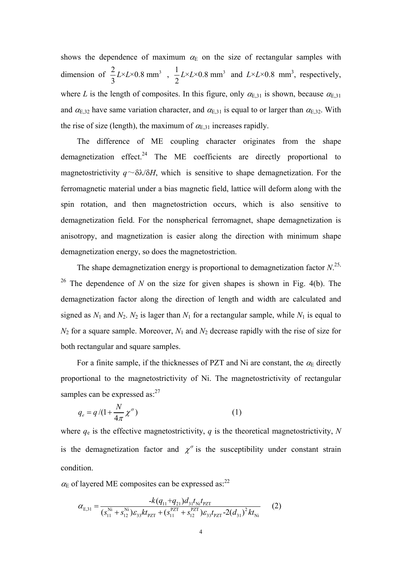shows the dependence of maximum  $\alpha_E$  on the size of rectangular samples with dimension of  $\frac{2}{3} L \times L \times 0.8$  mm<sup>3</sup> 3  $L \times L \times 0.8$  mm<sup>3</sup>,  $\frac{1}{2} L \times L \times 0.8$  mm<sup>3</sup> 2  $L \times L \times 0.8$  mm<sup>3</sup> and  $L \times L \times 0.8$  mm<sup>3</sup>, respectively, where *L* is the length of composites. In this figure, only  $\alpha_{E,31}$  is shown, because  $\alpha_{E,31}$ and  $\alpha_{E,32}$  have same variation character, and  $\alpha_{E,31}$  is equal to or larger than  $\alpha_{E,32}$ . With the rise of size (length), the maximum of  $\alpha_{E,31}$  increases rapidly.

The difference of ME coupling character originates from the shape demagnetization effect. $24$  The ME coefficients are directly proportional to magnetostrictivity  $q \sim \delta \lambda / \delta H$ , which is sensitive to shape demagnetization. For the ferromagnetic material under a bias magnetic field, lattice will deform along with the spin rotation, and then magnetostriction occurs, which is also sensitive to demagnetization field. For the nonspherical ferromagnet, shape demagnetization is anisotropy, and magnetization is easier along the direction with minimum shape demagnetization energy, so does the magnetostriction.

The shape demagnetization energy is proportional to demagnetization factor  $N^{25}$ . <sup>26</sup> The dependence of *N* on the size for given shapes is shown in Fig. 4(b). The demagnetization factor along the direction of length and width are calculated and signed as  $N_1$  and  $N_2$ .  $N_2$  is lager than  $N_1$  for a rectangular sample, while  $N_1$  is equal to  $N_2$  for a square sample. Moreover,  $N_1$  and  $N_2$  decrease rapidly with the rise of size for both rectangular and square samples.

For a finite sample, if the thicknesses of PZT and Ni are constant, the  $\alpha_E$  directly proportional to the magnetostrictivity of Ni. The magnetostrictivity of rectangular samples can be expressed as: $27$ 

$$
q_e = q/(1 + \frac{N}{4\pi} \chi^{\sigma})
$$
\n(1)

where *q*e is the effective magnetostrictivity, *q* is the theoretical magnetostrictivity, *N* is the demagnetization factor and  $\chi^{\sigma}$  is the susceptibility under constant strain condition.

 $\alpha_{\rm E}$  of layered ME composites can be expressed as:<sup>22</sup>

$$
\alpha_{E,31} = \frac{-k(q_{11}+q_{21})d_{31}t_{Ni}t_{PZT}}{(s_{11}^{Ni} + s_{12}^{Ni})\varepsilon_{33}kt_{PZT} + (s_{11}^{PZT} + s_{12}^{PZT})\varepsilon_{33}t_{PZT} - 2(d_{31})^2kt_{Ni}}
$$
(2)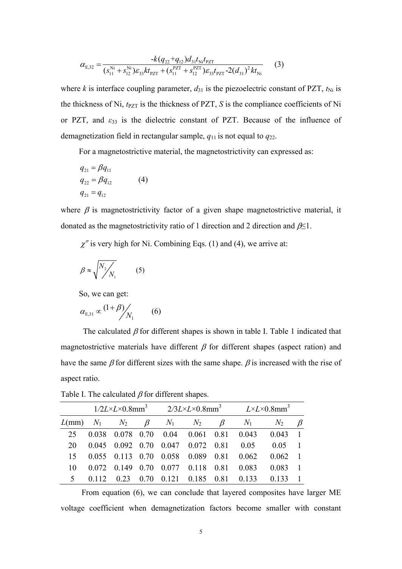$$
\alpha_{E,32} = \frac{-k(q_{22} + q_{12})d_{31}t_{\text{Ni}}t_{\text{PZT}}}{(s_{11}^{\text{Ni}} + s_{12}^{\text{Ni}})\varepsilon_{33}kt_{\text{PZT}} + (s_{11}^{\text{PZT}} + s_{12}^{\text{PZT}})\varepsilon_{33}t_{\text{PZT}} - 2(d_{31})^2kt_{\text{Ni}}}
$$
(3)

where *k* is interface coupling parameter,  $d_{31}$  is the piezoelectric constant of PZT,  $t_{\text{Ni}}$  is the thickness of Ni,  $t_{PZT}$  is the thickness of PZT, *S* is the compliance coefficients of Ni or PZT, and *ε*33 is the dielectric constant of PZT. Because of the influence of demagnetization field in rectangular sample,  $q_{11}$  is not equal to  $q_{22}$ .

For a magnetostrictive material, the magnetostrictivity can expressed as:

$$
q_{21} = \beta q_{11}
$$
  
\n
$$
q_{22} = \beta q_{12}
$$
 (4)  
\n
$$
q_{21} = q_{12}
$$

where  $\beta$  is magnetostrictivity factor of a given shape magnetostrictive material, it donated as the magnetostrictivity ratio of 1 direction and 2 direction and  $\beta \leq 1$ .

 $\chi^{\sigma}$  is very high for Ni. Combining Eqs. (1) and (4), we arrive at:

$$
\beta \approx \sqrt{\frac{N_2}{N_1}}\tag{5}
$$

So, we can get:

$$
\alpha_{E,31} \propto \frac{(1+\beta)}{N_1}
$$
 (6)

The calculated  $\beta$  for different shapes is shown in table I. Table 1 indicated that magnetostrictive materials have different  $\beta$  for different shapes (aspect ration) and have the same  $\beta$  for different sizes with the same shape.  $\beta$  is increased with the rise of aspect ratio.

|                          | $1/2L \times L \times 0.8$ mm <sup>3</sup> |          |      | $2/3L \times L \times 0.8$ mm <sup>3</sup> $L \times L \times 0.8$ mm <sup>3</sup> |                     |         |       |        |                |
|--------------------------|--------------------------------------------|----------|------|------------------------------------------------------------------------------------|---------------------|---------|-------|--------|----------------|
|                          |                                            |          |      | $L(mm)$ $N_1$ $N_2$ $\beta$ $N_1$ $N_2$                                            |                     | $\beta$ | $N_1$ | $N_2$  |                |
| 25                       | 0.038                                      |          |      | 0.078 0.70 0.04 0.061 0.81                                                         |                     |         | 0.043 | 0.043  |                |
| 20                       |                                            |          |      | 0.045 0.092 0.70 0.047 0.072 0.81                                                  |                     |         | 0.05  | 0.05   |                |
| 15                       |                                            |          |      | 0.055 0.113 0.70 0.058                                                             | 0.089               | 0.81    | 0.062 | 0.062  | $\overline{1}$ |
| 10                       | 0.072                                      | 0.149    | 0.70 | 0.077                                                                              | 0.118               | 0.81    | 0.083 | 0.083  | -1             |
| $\overline{\mathcal{L}}$ |                                            | $(1)$ 23 | 070  |                                                                                    | $0.121 \quad 0.185$ | 0.81    | 0.133 | (1133) |                |

Table I. The calculated  $\beta$  for different shapes.

From equation (6), we can conclude that layered composites have larger ME voltage coefficient when demagnetization factors become smaller with constant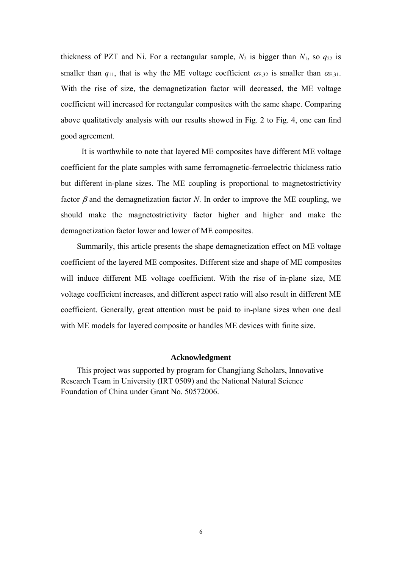thickness of PZT and Ni. For a rectangular sample,  $N_2$  is bigger than  $N_1$ , so  $q_{22}$  is smaller than  $q_{11}$ , that is why the ME voltage coefficient  $\alpha_{E,32}$  is smaller than  $\alpha_{E,31}$ . With the rise of size, the demagnetization factor will decreased, the ME voltage coefficient will increased for rectangular composites with the same shape. Comparing above qualitatively analysis with our results showed in Fig. 2 to Fig. 4, one can find good agreement.

It is worthwhile to note that layered ME composites have different ME voltage coefficient for the plate samples with same ferromagnetic-ferroelectric thickness ratio but different in-plane sizes. The ME coupling is proportional to magnetostrictivity factor β and the demagnetization factor *N*. In order to improve the ME coupling, we should make the magnetostrictivity factor higher and higher and make the demagnetization factor lower and lower of ME composites.

Summarily, this article presents the shape demagnetization effect on ME voltage coefficient of the layered ME composites. Different size and shape of ME composites will induce different ME voltage coefficient. With the rise of in-plane size, ME voltage coefficient increases, and different aspect ratio will also result in different ME coefficient. Generally, great attention must be paid to in-plane sizes when one deal with ME models for layered composite or handles ME devices with finite size.

### **Acknowledgment**

 This project was supported by program for Changjiang Scholars, Innovative Research Team in University (IRT 0509) and the National Natural Science Foundation of China under Grant No. 50572006.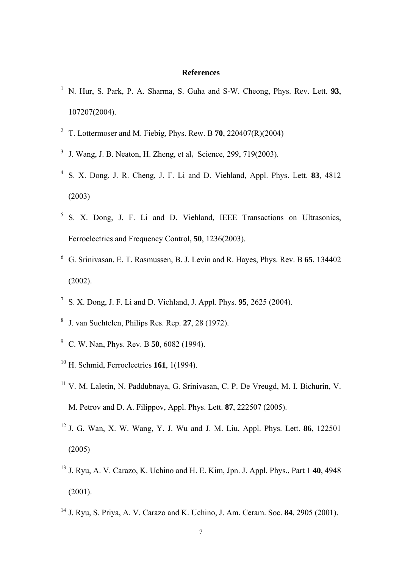## **References**

- N. Hur, S. Park, P. A. Sharma, S. Guha and S-W. Cheong, Phys. Rev. Lett. **93**, 107207(2004).
- T. Lottermoser and M. Fiebig, Phys. Rew. B **70**, 220407(R)(2004)
- J. Wang, J. B. Neaton, H. Zheng, et al, Science, 299, 719(2003).
- S. X. Dong, J. R. Cheng, J. F. Li and D. Viehland, Appl. Phys. Lett. **83**, 4812 (2003)
- S. X. Dong, J. F. Li and D. Viehland, IEEE Transactions on Ultrasonics, Ferroelectrics and Frequency Control, **50**, 1236(2003).
- G. Srinivasan, E. T. Rasmussen, B. J. Levin and R. Hayes, Phys. Rev. B **65**, 134402 (2002).
- S. X. Dong, J. F. Li and D. Viehland, J. Appl. Phys. **95**, 2625 (2004).
- J. van Suchtelen, Philips Res. Rep. **27**, 28 (1972).
- C. W. Nan, Phys. Rev. B **50**, 6082 (1994).
- H. Schmid, Ferroelectrics **161**, 1(1994).
- V. M. Laletin, N. Paddubnaya, G. Srinivasan, C. P. De Vreugd, M. I. Bichurin, V. M. Petrov and D. A. Filippov, Appl. Phys. Lett. **87**, 222507 (2005).
- J. G. Wan, X. W. Wang, Y. J. Wu and J. M. Liu, Appl. Phys. Lett. **86**, 122501 (2005)
- J. Ryu, A. V. Carazo, K. Uchino and H. E. Kim, Jpn. J. Appl. Phys., Part 1 **40**, 4948  $(2001)$ .
- J. Ryu, S. Priya, A. V. Carazo and K. Uchino, J. Am. Ceram. Soc. **84**, 2905 (2001).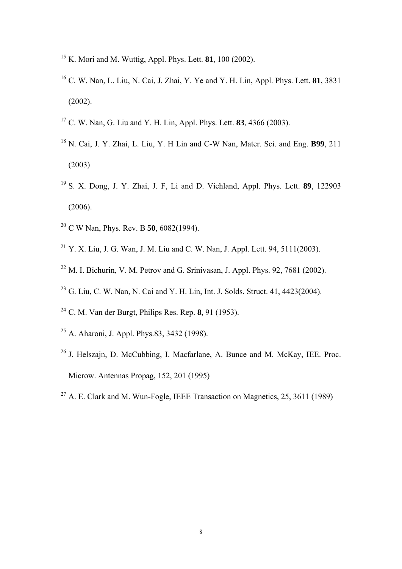- K. Mori and M. Wuttig, Appl. Phys. Lett. **81**, 100 (2002).
- C. W. Nan, L. Liu, N. Cai, J. Zhai, Y. Ye and Y. H. Lin, Appl. Phys. Lett. **81**, 3831 (2002).
- C. W. Nan, G. Liu and Y. H. Lin, Appl. Phys. Lett. **83**, 4366 (2003).
- N. Cai, J. Y. Zhai, L. Liu, Y. H Lin and C-W Nan, Mater. Sci. and Eng. **B99**, 211 (2003)
- S. X. Dong, J. Y. Zhai, J. F, Li and D. Viehland, Appl. Phys. Lett. **89**, 122903 (2006).
- C W Nan, Phys. Rev. B **50**, 6082(1994).
- <sup>21</sup> Y. X. Liu, J. G. Wan, J. M. Liu and C. W. Nan, J. Appl. Lett. 94, 5111(2003).
- M. I. Bichurin, V. M. Petrov and G. Srinivasan, J. Appl. Phys. 92, 7681 (2002).
- G. Liu, C. W. Nan, N. Cai and Y. H. Lin, Int. J. Solds. Struct. 41, 4423(2004).
- C. M. Van der Burgt, Philips Res. Rep. **8**, 91 (1953).
- A. Aharoni, J. Appl. Phys.83, 3432 (1998).
- J. Helszajn, D. McCubbing, I. Macfarlane, A. Bunce and M. McKay, IEE. Proc. Microw. Antennas Propag, 152, 201 (1995)
- <sup>27</sup> A. E. Clark and M. Wun-Fogle, IEEE Transaction on Magnetics,  $25, 3611$  (1989)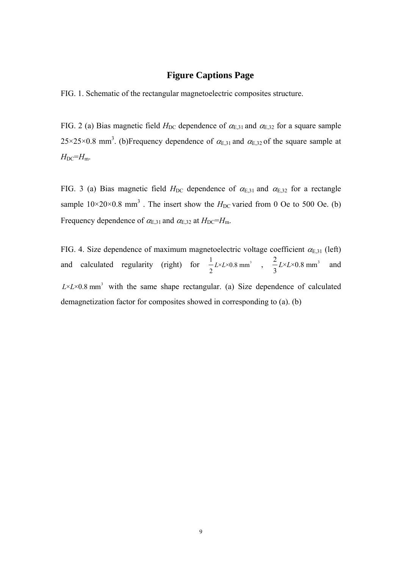# **Figure Captions Page**

FIG. 1. Schematic of the rectangular magnetoelectric composites structure.

FIG. 2 (a) Bias magnetic field  $H_{DC}$  dependence of  $\alpha_{E,31}$  and  $\alpha_{E,32}$  for a square sample  $25 \times 25 \times 0.8$  mm<sup>3</sup>. (b)Frequency dependence of  $\alpha_{E,31}$  and  $\alpha_{E,32}$  of the square sample at  $H_{DC} = H_m$ .

FIG. 3 (a) Bias magnetic field  $H_{DC}$  dependence of  $\alpha_{E,31}$  and  $\alpha_{E,32}$  for a rectangle sample  $10 \times 20 \times 0.8$  mm<sup>3</sup>. The insert show the  $H_{DC}$  varied from 0 Oe to 500 Oe. (b) Frequency dependence of  $\alpha_{E,31}$  and  $\alpha_{E,32}$  at  $H_{DC}=H_m$ .

FIG. 4. Size dependence of maximum magnetoelectric voltage coefficient  $\alpha_{E,31}$  (left) and calculated regularity (right) for  $\frac{1}{2} L \times L \times 0.8 \text{ mm}^3$ 2  $L \times L \times 0.8$  mm<sup>3</sup>,  $\frac{2}{L} L \times L \times 0.8$  mm<sup>3</sup> 3  $L \times L \times 0.8$  mm<sup>3</sup> and  $L \times L \times 0.8$  mm<sup>3</sup> with the same shape rectangular. (a) Size dependence of calculated demagnetization factor for composites showed in corresponding to (a). (b)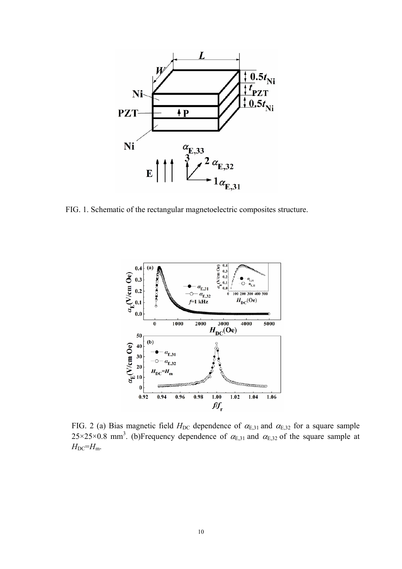

FIG. 1. Schematic of the rectangular magnetoelectric composites structure.



FIG. 2 (a) Bias magnetic field  $H_{DC}$  dependence of  $\alpha_{E,31}$  and  $\alpha_{E,32}$  for a square sample 25×25×0.8 mm<sup>3</sup>. (b)Frequency dependence of  $\alpha_{E,31}$  and  $\alpha_{E,32}$  of the square sample at  $H_{DC} = H_m$ .